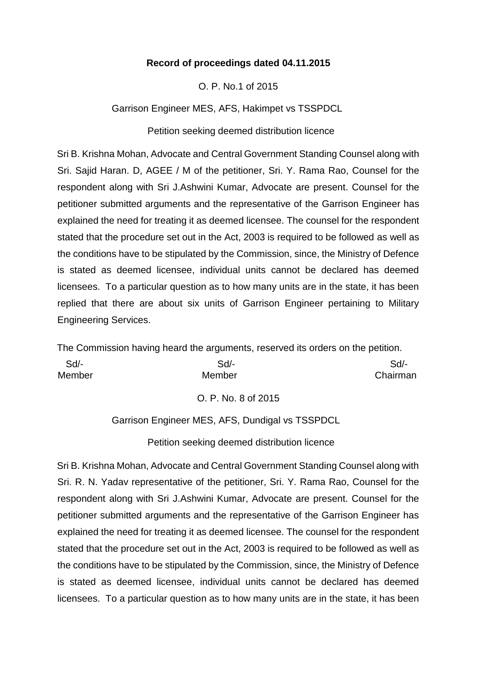#### **Record of proceedings dated 04.11.2015**

O. P. No.1 of 2015

Garrison Engineer MES, AFS, Hakimpet vs TSSPDCL

Petition seeking deemed distribution licence

Sri B. Krishna Mohan, Advocate and Central Government Standing Counsel along with Sri. Sajid Haran. D, AGEE / M of the petitioner, Sri. Y. Rama Rao, Counsel for the respondent along with Sri J.Ashwini Kumar, Advocate are present. Counsel for the petitioner submitted arguments and the representative of the Garrison Engineer has explained the need for treating it as deemed licensee. The counsel for the respondent stated that the procedure set out in the Act, 2003 is required to be followed as well as the conditions have to be stipulated by the Commission, since, the Ministry of Defence is stated as deemed licensee, individual units cannot be declared has deemed licensees. To a particular question as to how many units are in the state, it has been replied that there are about six units of Garrison Engineer pertaining to Military Engineering Services.

The Commission having heard the arguments, reserved its orders on the petition.

| Sd/-   | Sd/-   | $Sd$ -   |
|--------|--------|----------|
| Member | Member | Chairman |

O. P. No. 8 of 2015

Garrison Engineer MES, AFS, Dundigal vs TSSPDCL

Petition seeking deemed distribution licence

Sri B. Krishna Mohan, Advocate and Central Government Standing Counsel along with Sri. R. N. Yadav representative of the petitioner, Sri. Y. Rama Rao, Counsel for the respondent along with Sri J.Ashwini Kumar, Advocate are present. Counsel for the petitioner submitted arguments and the representative of the Garrison Engineer has explained the need for treating it as deemed licensee. The counsel for the respondent stated that the procedure set out in the Act, 2003 is required to be followed as well as the conditions have to be stipulated by the Commission, since, the Ministry of Defence is stated as deemed licensee, individual units cannot be declared has deemed licensees. To a particular question as to how many units are in the state, it has been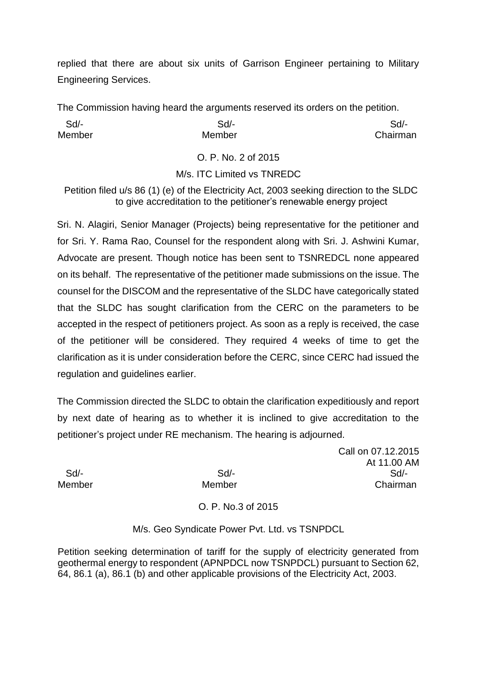replied that there are about six units of Garrison Engineer pertaining to Military Engineering Services.

The Commission having heard the arguments reserved its orders on the petition.

| Sd/-   | Sd/-   | Sd/-     |
|--------|--------|----------|
| Member | Member | Chairman |

O. P. No. 2 of 2015

M/s. ITC Limited vs TNREDC

Petition filed u/s 86 (1) (e) of the Electricity Act, 2003 seeking direction to the SLDC to give accreditation to the petitioner's renewable energy project

Sri. N. Alagiri, Senior Manager (Projects) being representative for the petitioner and for Sri. Y. Rama Rao, Counsel for the respondent along with Sri. J. Ashwini Kumar, Advocate are present. Though notice has been sent to TSNREDCL none appeared on its behalf. The representative of the petitioner made submissions on the issue. The counsel for the DISCOM and the representative of the SLDC have categorically stated that the SLDC has sought clarification from the CERC on the parameters to be accepted in the respect of petitioners project. As soon as a reply is received, the case of the petitioner will be considered. They required 4 weeks of time to get the clarification as it is under consideration before the CERC, since CERC had issued the regulation and guidelines earlier.

The Commission directed the SLDC to obtain the clarification expeditiously and report by next date of hearing as to whether it is inclined to give accreditation to the petitioner's project under RE mechanism. The hearing is adjourned.

Call on 07.12.2015 At 11.00 AM Sd/- Sd/- Sd/- Member Member Chairman

# O. P. No.3 of 2015

## M/s. Geo Syndicate Power Pvt. Ltd. vs TSNPDCL

Petition seeking determination of tariff for the supply of electricity generated from geothermal energy to respondent (APNPDCL now TSNPDCL) pursuant to Section 62, 64, 86.1 (a), 86.1 (b) and other applicable provisions of the Electricity Act, 2003.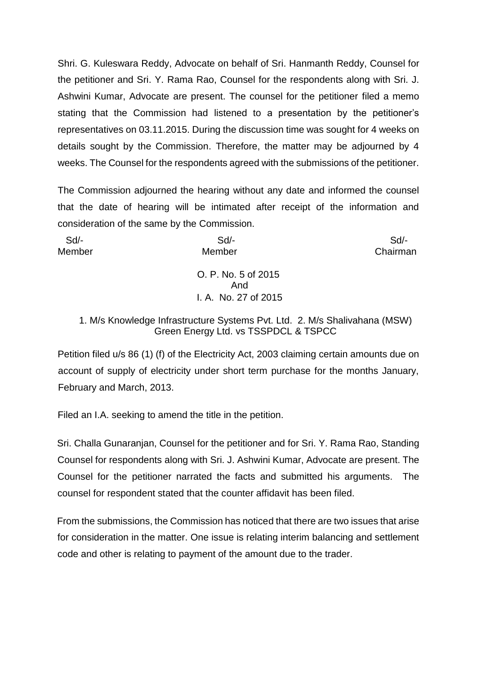Shri. G. Kuleswara Reddy, Advocate on behalf of Sri. Hanmanth Reddy, Counsel for the petitioner and Sri. Y. Rama Rao, Counsel for the respondents along with Sri. J. Ashwini Kumar, Advocate are present. The counsel for the petitioner filed a memo stating that the Commission had listened to a presentation by the petitioner's representatives on 03.11.2015. During the discussion time was sought for 4 weeks on details sought by the Commission. Therefore, the matter may be adjourned by 4 weeks. The Counsel for the respondents agreed with the submissions of the petitioner.

The Commission adjourned the hearing without any date and informed the counsel that the date of hearing will be intimated after receipt of the information and consideration of the same by the Commission.

 Sd/- Sd/- Sd/- Member Member Chairman

> O. P. No. 5 of 2015 And I. A. No. 27 of 2015

## 1. M/s Knowledge Infrastructure Systems Pvt. Ltd. 2. M/s Shalivahana (MSW) Green Energy Ltd. vs TSSPDCL & TSPCC

Petition filed u/s 86 (1) (f) of the Electricity Act, 2003 claiming certain amounts due on account of supply of electricity under short term purchase for the months January, February and March, 2013.

Filed an I.A. seeking to amend the title in the petition.

Sri. Challa Gunaranjan, Counsel for the petitioner and for Sri. Y. Rama Rao, Standing Counsel for respondents along with Sri. J. Ashwini Kumar, Advocate are present. The Counsel for the petitioner narrated the facts and submitted his arguments. The counsel for respondent stated that the counter affidavit has been filed.

From the submissions, the Commission has noticed that there are two issues that arise for consideration in the matter. One issue is relating interim balancing and settlement code and other is relating to payment of the amount due to the trader.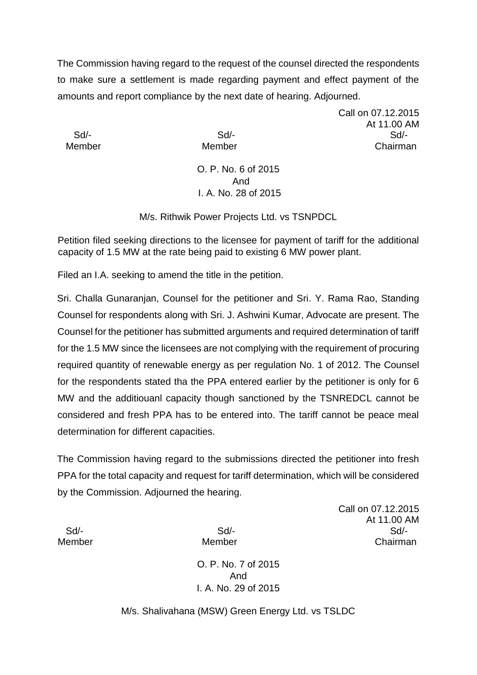The Commission having regard to the request of the counsel directed the respondents to make sure a settlement is made regarding payment and effect payment of the amounts and report compliance by the next date of hearing. Adjourned.

Call on 07.12.2015 At 11.00 AM Sd/- Sd/- Sd/- Member Member Chairman

## O. P. No. 6 of 2015 And I. A. No. 28 of 2015

M/s. Rithwik Power Projects Ltd. vs TSNPDCL

Petition filed seeking directions to the licensee for payment of tariff for the additional capacity of 1.5 MW at the rate being paid to existing 6 MW power plant.

Filed an I.A. seeking to amend the title in the petition.

Sri. Challa Gunaranjan, Counsel for the petitioner and Sri. Y. Rama Rao, Standing Counsel for respondents along with Sri. J. Ashwini Kumar, Advocate are present. The Counsel for the petitioner has submitted arguments and required determination of tariff for the 1.5 MW since the licensees are not complying with the requirement of procuring required quantity of renewable energy as per regulation No. 1 of 2012. The Counsel for the respondents stated tha the PPA entered earlier by the petitioner is only for 6 MW and the additiouanl capacity though sanctioned by the TSNREDCL cannot be considered and fresh PPA has to be entered into. The tariff cannot be peace meal determination for different capacities.

The Commission having regard to the submissions directed the petitioner into fresh PPA for the total capacity and request for tariff determination, which will be considered by the Commission. Adjourned the hearing.

Call on 07.12.2015 At 11.00 AM Sd/- Sd/- Sd/- Member Member Chairman

O. P. No. 7 of 2015 And I. A. No. 29 of 2015

M/s. Shalivahana (MSW) Green Energy Ltd. vs TSLDC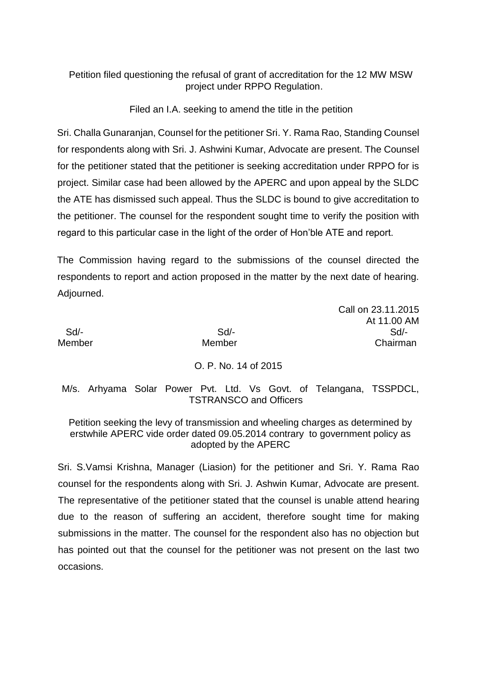## Petition filed questioning the refusal of grant of accreditation for the 12 MW MSW project under RPPO Regulation.

Filed an I.A. seeking to amend the title in the petition

Sri. Challa Gunaranjan, Counsel for the petitioner Sri. Y. Rama Rao, Standing Counsel for respondents along with Sri. J. Ashwini Kumar, Advocate are present. The Counsel for the petitioner stated that the petitioner is seeking accreditation under RPPO for is project. Similar case had been allowed by the APERC and upon appeal by the SLDC the ATE has dismissed such appeal. Thus the SLDC is bound to give accreditation to the petitioner. The counsel for the respondent sought time to verify the position with regard to this particular case in the light of the order of Hon'ble ATE and report.

The Commission having regard to the submissions of the counsel directed the respondents to report and action proposed in the matter by the next date of hearing. Adjourned.

Call on 23.11.2015 At 11.00 AM Sd/- Sd/- Sd/- Member Member Chairman

# O. P. No. 14 of 2015

M/s. Arhyama Solar Power Pvt. Ltd. Vs Govt. of Telangana, TSSPDCL, TSTRANSCO and Officers

Petition seeking the levy of transmission and wheeling charges as determined by erstwhile APERC vide order dated 09.05.2014 contrary to government policy as adopted by the APERC

Sri. S.Vamsi Krishna, Manager (Liasion) for the petitioner and Sri. Y. Rama Rao counsel for the respondents along with Sri. J. Ashwin Kumar, Advocate are present. The representative of the petitioner stated that the counsel is unable attend hearing due to the reason of suffering an accident, therefore sought time for making submissions in the matter. The counsel for the respondent also has no objection but has pointed out that the counsel for the petitioner was not present on the last two occasions.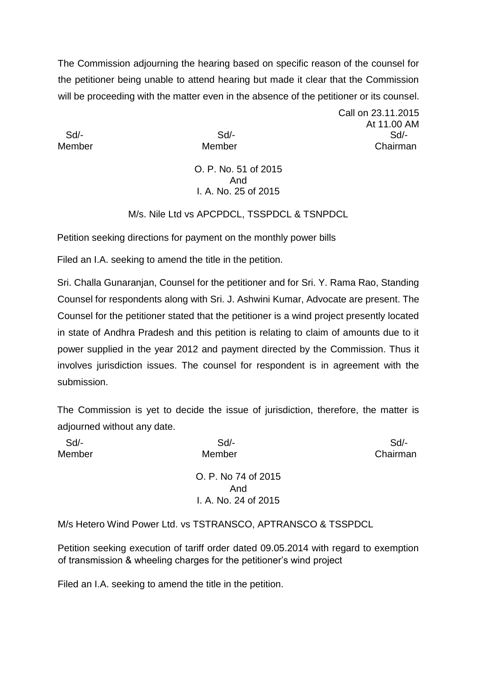The Commission adjourning the hearing based on specific reason of the counsel for the petitioner being unable to attend hearing but made it clear that the Commission will be proceeding with the matter even in the absence of the petitioner or its counsel.

Call on 23.11.2015 At 11.00 AM Sd/- Sd/- Sd/- Member Member Chairman

#### O. P. No. 51 of 2015 And I. A. No. 25 of 2015

M/s. Nile Ltd vs APCPDCL, TSSPDCL & TSNPDCL

Petition seeking directions for payment on the monthly power bills

Filed an I.A. seeking to amend the title in the petition.

Sri. Challa Gunaranjan, Counsel for the petitioner and for Sri. Y. Rama Rao, Standing Counsel for respondents along with Sri. J. Ashwini Kumar, Advocate are present. The Counsel for the petitioner stated that the petitioner is a wind project presently located in state of Andhra Pradesh and this petition is relating to claim of amounts due to it power supplied in the year 2012 and payment directed by the Commission. Thus it involves jurisdiction issues. The counsel for respondent is in agreement with the submission.

The Commission is yet to decide the issue of jurisdiction, therefore, the matter is adjourned without any date.

| Sd/-          | Sd                   | $Sd$ -   |
|---------------|----------------------|----------|
| <b>Member</b> | Member               | Chairman |
|               | O. P. No 74 of 2015  |          |
|               | And                  |          |
|               | I. A. No. 24 of 2015 |          |

M/s Hetero Wind Power Ltd. vs TSTRANSCO, APTRANSCO & TSSPDCL

Petition seeking execution of tariff order dated 09.05.2014 with regard to exemption of transmission & wheeling charges for the petitioner's wind project

Filed an I.A. seeking to amend the title in the petition.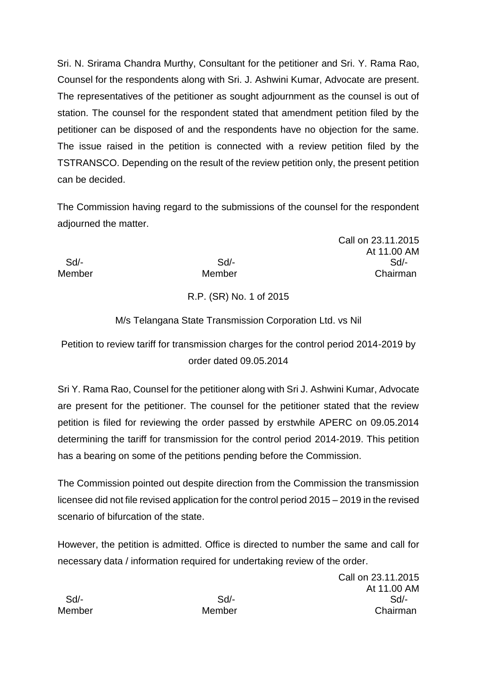Sri. N. Srirama Chandra Murthy, Consultant for the petitioner and Sri. Y. Rama Rao, Counsel for the respondents along with Sri. J. Ashwini Kumar, Advocate are present. The representatives of the petitioner as sought adjournment as the counsel is out of station. The counsel for the respondent stated that amendment petition filed by the petitioner can be disposed of and the respondents have no objection for the same. The issue raised in the petition is connected with a review petition filed by the TSTRANSCO. Depending on the result of the review petition only, the present petition can be decided.

The Commission having regard to the submissions of the counsel for the respondent adjourned the matter.

Call on 23.11.2015 At 11.00 AM Sd/- Sd/- Sd/- Member Member **Member** Chairman

# R.P. (SR) No. 1 of 2015

## M/s Telangana State Transmission Corporation Ltd. vs Nil

Petition to review tariff for transmission charges for the control period 2014-2019 by order dated 09.05.2014

Sri Y. Rama Rao, Counsel for the petitioner along with Sri J. Ashwini Kumar, Advocate are present for the petitioner. The counsel for the petitioner stated that the review petition is filed for reviewing the order passed by erstwhile APERC on 09.05.2014 determining the tariff for transmission for the control period 2014-2019. This petition has a bearing on some of the petitions pending before the Commission.

The Commission pointed out despite direction from the Commission the transmission licensee did not file revised application for the control period 2015 – 2019 in the revised scenario of bifurcation of the state.

However, the petition is admitted. Office is directed to number the same and call for necessary data / information required for undertaking review of the order.

Call on 23.11.2015 At 11.00 AM Sd/- Sd/- Sd/- Member Member Chairman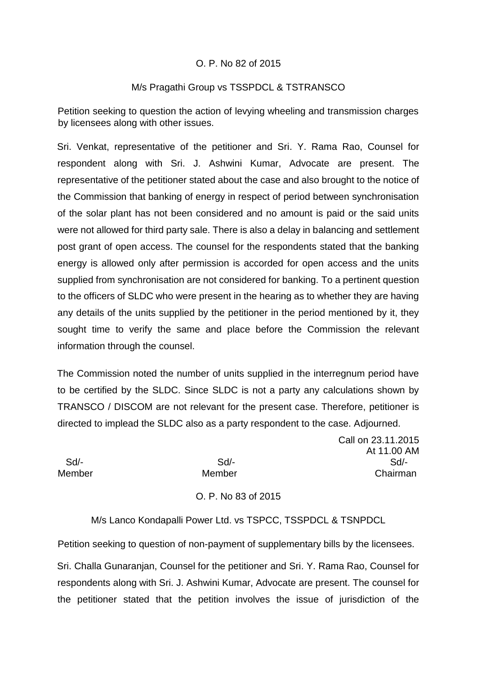### O. P. No 82 of 2015

#### M/s Pragathi Group vs TSSPDCL & TSTRANSCO

Petition seeking to question the action of levying wheeling and transmission charges by licensees along with other issues.

Sri. Venkat, representative of the petitioner and Sri. Y. Rama Rao, Counsel for respondent along with Sri. J. Ashwini Kumar, Advocate are present. The representative of the petitioner stated about the case and also brought to the notice of the Commission that banking of energy in respect of period between synchronisation of the solar plant has not been considered and no amount is paid or the said units were not allowed for third party sale. There is also a delay in balancing and settlement post grant of open access. The counsel for the respondents stated that the banking energy is allowed only after permission is accorded for open access and the units supplied from synchronisation are not considered for banking. To a pertinent question to the officers of SLDC who were present in the hearing as to whether they are having any details of the units supplied by the petitioner in the period mentioned by it, they sought time to verify the same and place before the Commission the relevant information through the counsel.

The Commission noted the number of units supplied in the interregnum period have to be certified by the SLDC. Since SLDC is not a party any calculations shown by TRANSCO / DISCOM are not relevant for the present case. Therefore, petitioner is directed to implead the SLDC also as a party respondent to the case. Adjourned.

Call on 23.11.2015 At 11.00 AM Sd/- Sd/- Sd/- Member Member Chairman

O. P. No 83 of 2015

M/s Lanco Kondapalli Power Ltd. vs TSPCC, TSSPDCL & TSNPDCL

Petition seeking to question of non-payment of supplementary bills by the licensees.

Sri. Challa Gunaranjan, Counsel for the petitioner and Sri. Y. Rama Rao, Counsel for respondents along with Sri. J. Ashwini Kumar, Advocate are present. The counsel for the petitioner stated that the petition involves the issue of jurisdiction of the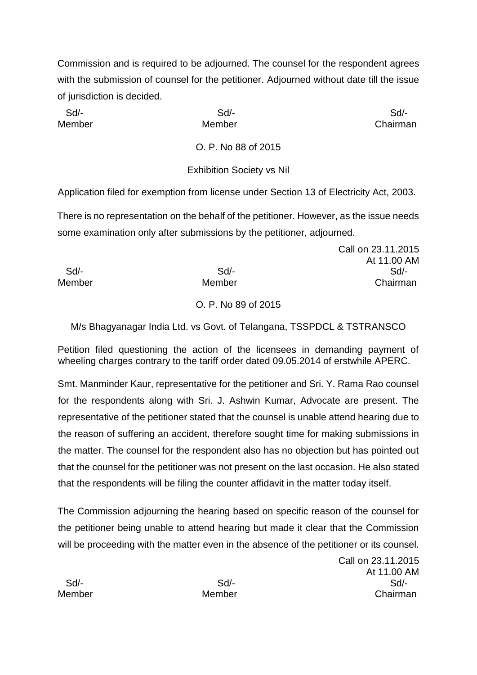Commission and is required to be adjourned. The counsel for the respondent agrees with the submission of counsel for the petitioner. Adjourned without date till the issue of jurisdiction is decided.

Sd/- Sd/- Sd/-

Member Member Chairman

O. P. No 88 of 2015

Exhibition Society vs Nil

Application filed for exemption from license under Section 13 of Electricity Act, 2003.

There is no representation on the behalf of the petitioner. However, as the issue needs some examination only after submissions by the petitioner, adjourned.

Call on 23.11.2015 At 11.00 AM Sd/- Sd/- Sd/- Member Member Chairman

### O. P. No 89 of 2015

M/s Bhagyanagar India Ltd. vs Govt. of Telangana, TSSPDCL & TSTRANSCO

Petition filed questioning the action of the licensees in demanding payment of wheeling charges contrary to the tariff order dated 09.05.2014 of erstwhile APERC.

Smt. Manminder Kaur, representative for the petitioner and Sri. Y. Rama Rao counsel for the respondents along with Sri. J. Ashwin Kumar, Advocate are present. The representative of the petitioner stated that the counsel is unable attend hearing due to the reason of suffering an accident, therefore sought time for making submissions in the matter. The counsel for the respondent also has no objection but has pointed out that the counsel for the petitioner was not present on the last occasion. He also stated that the respondents will be filing the counter affidavit in the matter today itself.

The Commission adjourning the hearing based on specific reason of the counsel for the petitioner being unable to attend hearing but made it clear that the Commission will be proceeding with the matter even in the absence of the petitioner or its counsel.

Call on 23.11.2015 At 11.00 AM Sd/- Sd/- Sd/- Member Member Chairman